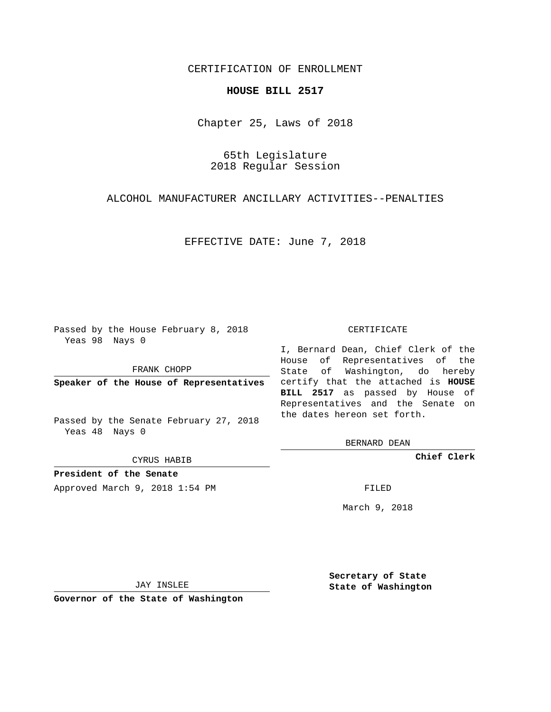## CERTIFICATION OF ENROLLMENT

## **HOUSE BILL 2517**

Chapter 25, Laws of 2018

65th Legislature 2018 Regular Session

ALCOHOL MANUFACTURER ANCILLARY ACTIVITIES--PENALTIES

EFFECTIVE DATE: June 7, 2018

Passed by the House February 8, 2018 Yeas 98 Nays 0

FRANK CHOPP

Passed by the Senate February 27, 2018 Yeas 48 Nays 0

CYRUS HABIB

**President of the Senate**

Approved March 9, 2018 1:54 PM FILED

## CERTIFICATE

**Speaker of the House of Representatives** certify that the attached is **HOUSE** I, Bernard Dean, Chief Clerk of the House of Representatives of the State of Washington, do hereby **BILL 2517** as passed by House of Representatives and the Senate on the dates hereon set forth.

BERNARD DEAN

**Chief Clerk**

March 9, 2018

JAY INSLEE

**Governor of the State of Washington**

**Secretary of State State of Washington**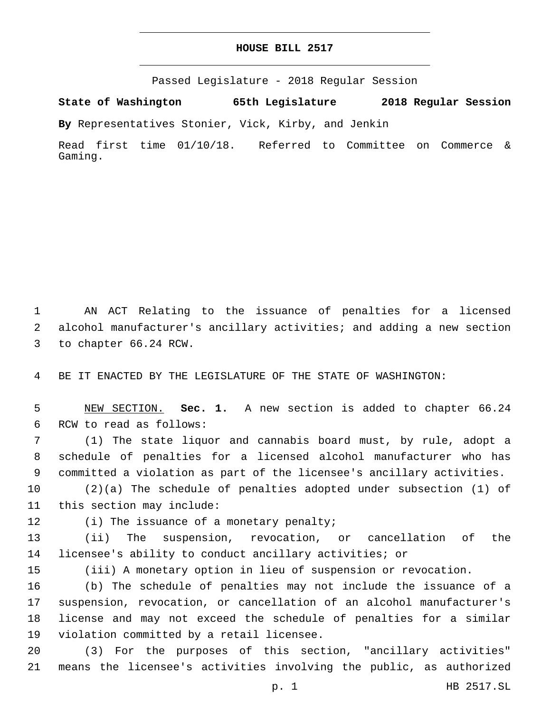## **HOUSE BILL 2517**

Passed Legislature - 2018 Regular Session

**State of Washington 65th Legislature 2018 Regular Session**

**By** Representatives Stonier, Vick, Kirby, and Jenkin

Read first time 01/10/18. Referred to Committee on Commerce & Gaming.

1 AN ACT Relating to the issuance of penalties for a licensed 2 alcohol manufacturer's ancillary activities; and adding a new section 3 to chapter 66.24 RCW.

4 BE IT ENACTED BY THE LEGISLATURE OF THE STATE OF WASHINGTON:

5 NEW SECTION. **Sec. 1.** A new section is added to chapter 66.24 6 RCW to read as follows:

7 (1) The state liquor and cannabis board must, by rule, adopt a 8 schedule of penalties for a licensed alcohol manufacturer who has 9 committed a violation as part of the licensee's ancillary activities.

10 (2)(a) The schedule of penalties adopted under subsection (1) of 11 this section may include:

12 (i) The issuance of a monetary penalty;

13 (ii) The suspension, revocation, or cancellation of the 14 licensee's ability to conduct ancillary activities; or

15 (iii) A monetary option in lieu of suspension or revocation.

 (b) The schedule of penalties may not include the issuance of a suspension, revocation, or cancellation of an alcohol manufacturer's license and may not exceed the schedule of penalties for a similar 19 violation committed by a retail licensee.

20 (3) For the purposes of this section, "ancillary activities" 21 means the licensee's activities involving the public, as authorized

p. 1 HB 2517.SL